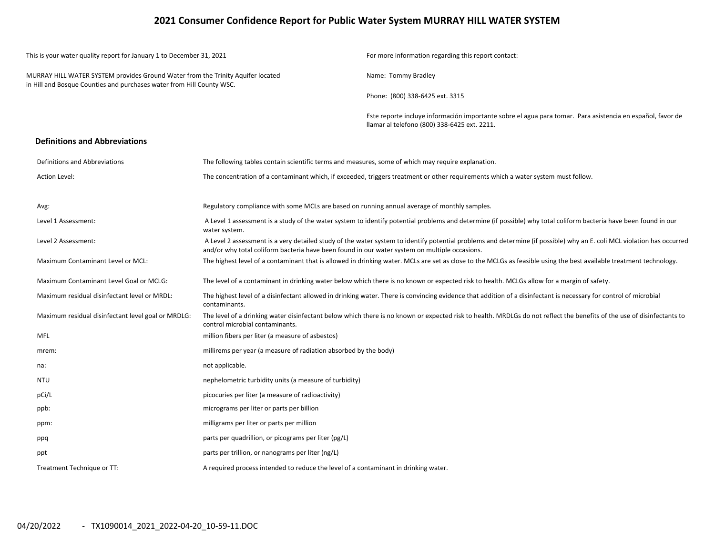### **2021 Consumer Confidence Report for Public Water System MURRAY HILL WATER SYSTEM**

| This is your water quality report for January 1 to December 31, 2021                                                                                     |                                                                                                                                                                                    | For more information regarding this report contact:                                                                                                                    |  |  |  |  |
|----------------------------------------------------------------------------------------------------------------------------------------------------------|------------------------------------------------------------------------------------------------------------------------------------------------------------------------------------|------------------------------------------------------------------------------------------------------------------------------------------------------------------------|--|--|--|--|
| MURRAY HILL WATER SYSTEM provides Ground Water from the Trinity Aquifer located<br>in Hill and Bosque Counties and purchases water from Hill County WSC. |                                                                                                                                                                                    | Name: Tommy Bradley                                                                                                                                                    |  |  |  |  |
|                                                                                                                                                          |                                                                                                                                                                                    | Phone: (800) 338-6425 ext. 3315                                                                                                                                        |  |  |  |  |
|                                                                                                                                                          |                                                                                                                                                                                    | Este reporte incluye información importante sobre el agua para tomar. Para asistencia en español, favor de<br>Ilamar al telefono (800) 338-6425 ext. 2211.             |  |  |  |  |
| <b>Definitions and Abbreviations</b>                                                                                                                     |                                                                                                                                                                                    |                                                                                                                                                                        |  |  |  |  |
| Definitions and Abbreviations                                                                                                                            | The following tables contain scientific terms and measures, some of which may require explanation.                                                                                 |                                                                                                                                                                        |  |  |  |  |
| <b>Action Level:</b>                                                                                                                                     |                                                                                                                                                                                    | The concentration of a contaminant which, if exceeded, triggers treatment or other requirements which a water system must follow.                                      |  |  |  |  |
| Avg:                                                                                                                                                     | Regulatory compliance with some MCLs are based on running annual average of monthly samples.                                                                                       |                                                                                                                                                                        |  |  |  |  |
| Level 1 Assessment:                                                                                                                                      | A Level 1 assessment is a study of the water system to identify potential problems and determine (if possible) why total coliform bacteria have been found in our<br>water system. |                                                                                                                                                                        |  |  |  |  |
| Level 2 Assessment:                                                                                                                                      | and/or why total coliform bacteria have been found in our water system on multiple occasions.                                                                                      | A Level 2 assessment is a very detailed study of the water system to identify potential problems and determine (if possible) why an E. coli MCL violation has occurred |  |  |  |  |
| Maximum Contaminant Level or MCL:                                                                                                                        |                                                                                                                                                                                    | The highest level of a contaminant that is allowed in drinking water. MCLs are set as close to the MCLGs as feasible using the best available treatment technology.    |  |  |  |  |
| Maximum Contaminant Level Goal or MCLG:                                                                                                                  |                                                                                                                                                                                    | The level of a contaminant in drinking water below which there is no known or expected risk to health. MCLGs allow for a margin of safety.                             |  |  |  |  |
| Maximum residual disinfectant level or MRDL:                                                                                                             | contaminants.                                                                                                                                                                      | The highest level of a disinfectant allowed in drinking water. There is convincing evidence that addition of a disinfectant is necessary for control of microbial      |  |  |  |  |
| Maximum residual disinfectant level goal or MRDLG:                                                                                                       | control microbial contaminants.                                                                                                                                                    | The level of a drinking water disinfectant below which there is no known or expected risk to health. MRDLGs do not reflect the benefits of the use of disinfectants to |  |  |  |  |
| <b>MFL</b>                                                                                                                                               | million fibers per liter (a measure of asbestos)                                                                                                                                   |                                                                                                                                                                        |  |  |  |  |
| mrem:                                                                                                                                                    | millirems per year (a measure of radiation absorbed by the body)                                                                                                                   |                                                                                                                                                                        |  |  |  |  |
| na:                                                                                                                                                      | not applicable.                                                                                                                                                                    |                                                                                                                                                                        |  |  |  |  |
| <b>NTU</b>                                                                                                                                               | nephelometric turbidity units (a measure of turbidity)                                                                                                                             |                                                                                                                                                                        |  |  |  |  |
| pCi/L                                                                                                                                                    | picocuries per liter (a measure of radioactivity)                                                                                                                                  |                                                                                                                                                                        |  |  |  |  |
| ppb:                                                                                                                                                     | micrograms per liter or parts per billion                                                                                                                                          |                                                                                                                                                                        |  |  |  |  |
| ppm:                                                                                                                                                     | milligrams per liter or parts per million                                                                                                                                          |                                                                                                                                                                        |  |  |  |  |
| ppq                                                                                                                                                      | parts per quadrillion, or picograms per liter (pg/L)                                                                                                                               |                                                                                                                                                                        |  |  |  |  |
| ppt                                                                                                                                                      | parts per trillion, or nanograms per liter (ng/L)                                                                                                                                  |                                                                                                                                                                        |  |  |  |  |
| Treatment Technique or TT:                                                                                                                               | A required process intended to reduce the level of a contaminant in drinking water.                                                                                                |                                                                                                                                                                        |  |  |  |  |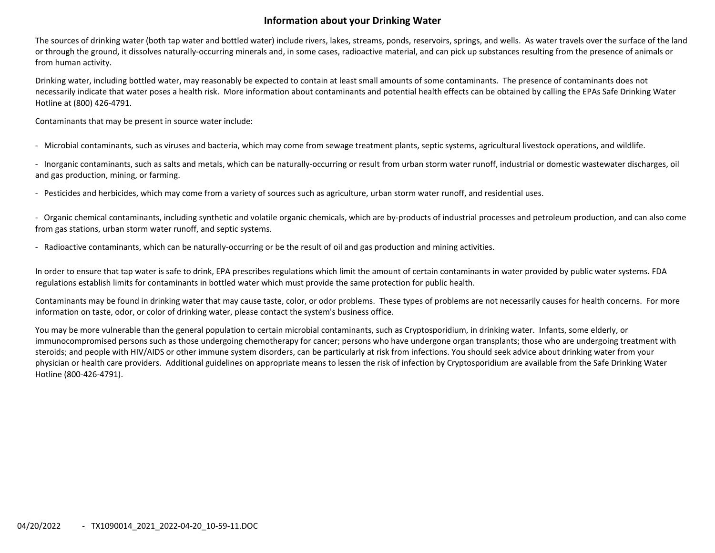## **Information about your Drinking Water**

The sources of drinking water (both tap water and bottled water) include rivers, lakes, streams, ponds, reservoirs, springs, and wells. As water travels over the surface of the land or through the ground, it dissolves naturally‐occurring minerals and, in some cases, radioactive material, and can pick up substances resulting from the presence of animals or from human activity.

Drinking water, including bottled water, may reasonably be expected to contain at least small amounts of some contaminants. The presence of contaminants does not necessarily indicate that water poses <sup>a</sup> health risk. More information about contaminants and potential health effects can be obtained by calling the EPAs Safe Drinking Water Hotline at (800) 426‐4791.

Contaminants that may be present in source water include:

‐ Microbial contaminants, such as viruses and bacteria, which may come from sewage treatment plants, septic systems, agricultural livestock operations, and wildlife.

‐ Inorganic contaminants, such as salts and metals, which can be naturally‐occurring or result from urban storm water runoff, industrial or domestic wastewater discharges, oil and gas production, mining, or farming.

‐ Pesticides and herbicides, which may come from <sup>a</sup> variety of sources such as agriculture, urban storm water runoff, and residential uses.

‐ Organic chemical contaminants, including synthetic and volatile organic chemicals, which are by‐products of industrial processes and petroleum production, and can also come from gas stations, urban storm water runoff, and septic systems.

‐ Radioactive contaminants, which can be naturally‐occurring or be the result of oil and gas production and mining activities.

In order to ensure that tap water is safe to drink, EPA prescribes regulations which limit the amount of certain contaminants in water provided by public water systems. FDA regulations establish limits for contaminants in bottled water which must provide the same protection for public health.

Contaminants may be found in drinking water that may cause taste, color, or odor problems. These types of problems are not necessarily causes for health concerns. For more information on taste, odor, or color of drinking water, please contact the system's business office.

You may be more vulnerable than the general population to certain microbial contaminants, such as Cryptosporidium, in drinking water. Infants, some elderly, or immunocompromised persons such as those undergoing chemotherapy for cancer; persons who have undergone organ transplants; those who are undergoing treatment with steroids; and people with HIV/AIDS or other immune system disorders, can be particularly at risk from infections. You should seek advice about drinking water from your physician or health care providers. Additional guidelines on appropriate means to lessen the risk of infection by Cryptosporidium are available from the Safe Drinking Water Hotline (800‐426‐4791).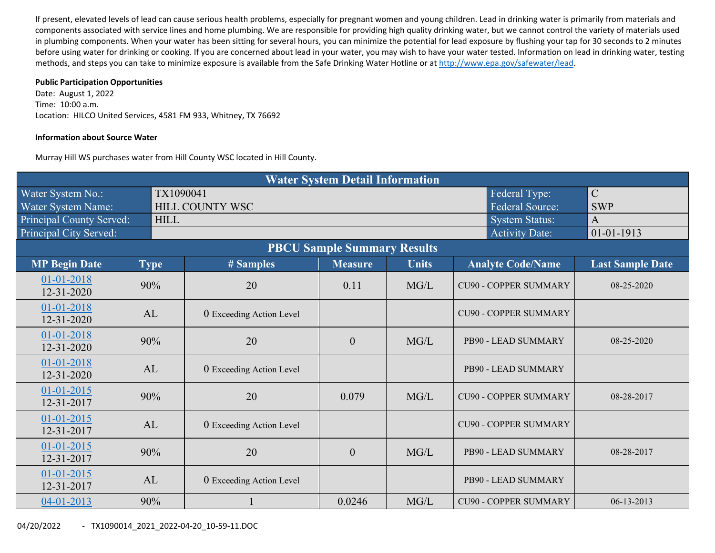If present, elevated levels of lead can cause serious health problems, especially for pregnant women and young children. Lead in drinking water is primarily from materials and components associated with service lines and home plumbing. We are responsible for providing high quality drinking water, but we cannot control the variety of materials used in plumbing components. When your water has been sitting for several hours, you can minimize the potential for lead exposure by flushing your tap for 30 seconds to 2 minutes before using water for drinking or cooking. If you are concerned about lead in your water, you may wish to have your water tested. Information on lead in drinking water, testing methods, and steps you can take to minimize exposure is available from the Safe Drinking Water Hotline or at http://www.epa.gov/safewater/lead.

#### **Public Participation Opportunities**

Date: August 1, 2022 Time: 10:00 a.m. Location: HILCO United Services, 4581 FM 933, Whitney, TX 76692

#### **Information about Source Water**

Murray Hill WS purchases water from Hill County WSC located in Hill County.

|                                |             |                                           | <b>Water System Detail Information</b> |              |                              |                         |  |  |  |
|--------------------------------|-------------|-------------------------------------------|----------------------------------------|--------------|------------------------------|-------------------------|--|--|--|
| Water System No.:              | TX1090041   |                                           |                                        |              | Federal Type:                | $\mathcal{C}$           |  |  |  |
| Water System Name:             |             | <b>Federal Source:</b><br>HILL COUNTY WSC |                                        |              |                              |                         |  |  |  |
| Principal County Served:       | <b>HILL</b> |                                           |                                        |              | <b>System Status:</b>        | $\mathbf{A}$            |  |  |  |
| Principal City Served:         |             |                                           |                                        |              | <b>Activity Date:</b>        | 01-01-1913              |  |  |  |
|                                |             |                                           | <b>PBCU Sample Summary Results</b>     |              |                              |                         |  |  |  |
| <b>MP Begin Date</b>           | <b>Type</b> | # Samples                                 | <b>Measure</b>                         | <b>Units</b> | <b>Analyte Code/Name</b>     | <b>Last Sample Date</b> |  |  |  |
| 01-01-2018<br>12-31-2020       | 90%         | 20                                        | 0.11                                   | MG/L         | <b>CU90 - COPPER SUMMARY</b> | 08-25-2020              |  |  |  |
| 01-01-2018<br>12-31-2020       | AL          | 0 Exceeding Action Level                  |                                        |              | <b>CU90 - COPPER SUMMARY</b> |                         |  |  |  |
| 01-01-2018<br>12-31-2020       | 90%         | 20                                        | $\overline{0}$                         | MG/L         | PB90 - LEAD SUMMARY          | $08 - 25 - 2020$        |  |  |  |
| 01-01-2018<br>$12 - 31 - 2020$ | AL          | 0 Exceeding Action Level                  |                                        |              | PB90 - LEAD SUMMARY          |                         |  |  |  |
| $01 - 01 - 2015$<br>12-31-2017 | 90%         | 20                                        | 0.079                                  | MG/L         | <b>CU90 - COPPER SUMMARY</b> | 08-28-2017              |  |  |  |
| $01 - 01 - 2015$<br>12-31-2017 | AL          | 0 Exceeding Action Level                  |                                        |              | <b>CU90 - COPPER SUMMARY</b> |                         |  |  |  |
| $01 - 01 - 2015$<br>12-31-2017 | 90%         | 20                                        | $\overline{0}$                         | MG/L         | PB90 - LEAD SUMMARY          | 08-28-2017              |  |  |  |
| $01 - 01 - 2015$<br>12-31-2017 | AL          | 0 Exceeding Action Level                  |                                        |              | PB90 - LEAD SUMMARY          |                         |  |  |  |
| 04-01-2013                     | 90%         |                                           | 0.0246                                 | MG/L         | <b>CU90 - COPPER SUMMARY</b> | $06 - 13 - 2013$        |  |  |  |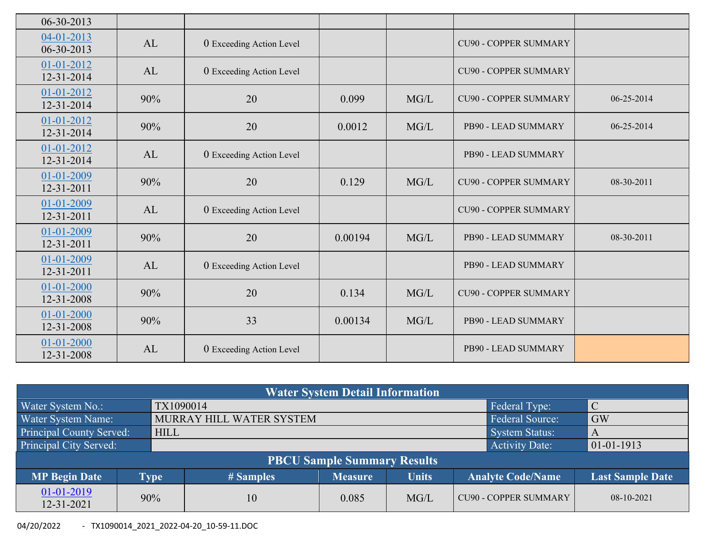| $06 - 30 - 2013$               |     |                          |         |      |                              |            |
|--------------------------------|-----|--------------------------|---------|------|------------------------------|------------|
| 04-01-2013<br>$06 - 30 - 2013$ | AL  | 0 Exceeding Action Level |         |      | <b>CU90 - COPPER SUMMARY</b> |            |
| 01-01-2012<br>12-31-2014       | AL  | 0 Exceeding Action Level |         |      | <b>CU90 - COPPER SUMMARY</b> |            |
| 01-01-2012<br>12-31-2014       | 90% | 20                       | 0.099   | MG/L | <b>CU90 - COPPER SUMMARY</b> | 06-25-2014 |
| 01-01-2012<br>$12 - 31 - 2014$ | 90% | 20                       | 0.0012  | MG/L | PB90 - LEAD SUMMARY          | 06-25-2014 |
| 01-01-2012<br>12-31-2014       | AL  | 0 Exceeding Action Level |         |      | PB90 - LEAD SUMMARY          |            |
| 01-01-2009<br>12-31-2011       | 90% | 20                       | 0.129   | MG/L | <b>CU90 - COPPER SUMMARY</b> | 08-30-2011 |
| 01-01-2009<br>12-31-2011       | AL  | 0 Exceeding Action Level |         |      | <b>CU90 - COPPER SUMMARY</b> |            |
| 01-01-2009<br>12-31-2011       | 90% | 20                       | 0.00194 | MG/L | PB90 - LEAD SUMMARY          | 08-30-2011 |
| 01-01-2009<br>12-31-2011       | AL  | 0 Exceeding Action Level |         |      | PB90 - LEAD SUMMARY          |            |
| 01-01-2000<br>12-31-2008       | 90% | 20                       | 0.134   | MG/L | <b>CU90 - COPPER SUMMARY</b> |            |
| 01-01-2000<br>12-31-2008       | 90% | 33                       | 0.00134 | MG/L | PB90 - LEAD SUMMARY          |            |
| 01-01-2000<br>12-31-2008       | AL  | 0 Exceeding Action Level |         |      | PB90 - LEAD SUMMARY          |            |
|                                |     |                          |         |      |                              |            |

|                                 | <b>Water System Detail Information</b> |             |                                         |                                    |                         |                 |               |  |  |  |  |  |
|---------------------------------|----------------------------------------|-------------|-----------------------------------------|------------------------------------|-------------------------|-----------------|---------------|--|--|--|--|--|
| Water System No.:               |                                        | TX1090014   |                                         |                                    |                         | Federal Type:   | $\mathcal{C}$ |  |  |  |  |  |
| Water System Name:              |                                        |             | MURRAY HILL WATER SYSTEM                |                                    |                         | Federal Source: | <b>GW</b>     |  |  |  |  |  |
| <b>Principal County Served:</b> |                                        | <b>HILL</b> |                                         |                                    |                         | System Status:  | A             |  |  |  |  |  |
| Principal City Served:          |                                        |             | <b>Activity Date:</b><br>$ 01-01-1913 $ |                                    |                         |                 |               |  |  |  |  |  |
|                                 |                                        |             |                                         | <b>PBCU Sample Summary Results</b> |                         |                 |               |  |  |  |  |  |
| <b>MP Begin Date</b>            |                                        | <b>Type</b> | # Samples                               | <b>Analyte Code/Name</b>           | <b>Last Sample Date</b> |                 |               |  |  |  |  |  |
| 01-01-2019<br>12-31-2021        | 90%                                    |             | 10                                      | <b>CU90 - COPPER SUMMARY</b>       | $08-10-2021$            |                 |               |  |  |  |  |  |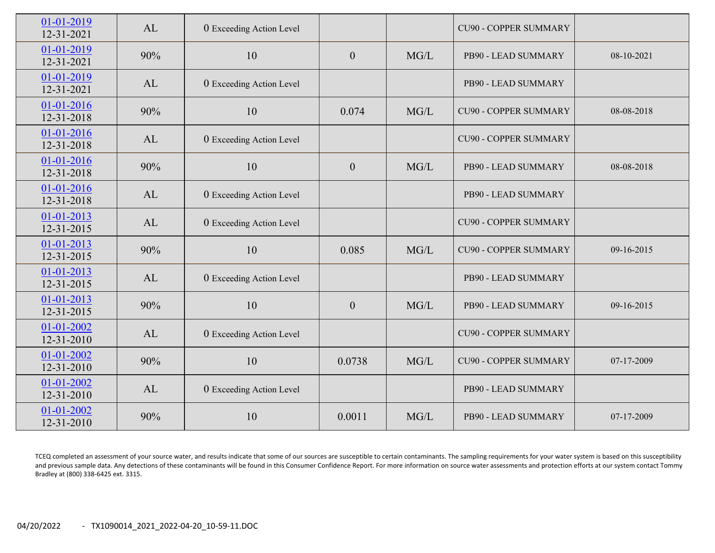| 01-01-2019<br>12-31-2021       | AL  | 0 Exceeding Action Level |                |      | <b>CU90 - COPPER SUMMARY</b> |            |
|--------------------------------|-----|--------------------------|----------------|------|------------------------------|------------|
| 01-01-2019<br>12-31-2021       | 90% | 10                       | $\overline{0}$ | MG/L | PB90 - LEAD SUMMARY          | 08-10-2021 |
| 01-01-2019<br>12-31-2021       | AL  | 0 Exceeding Action Level |                |      | PB90 - LEAD SUMMARY          |            |
| 01-01-2016<br>12-31-2018       | 90% | 10                       | 0.074          | MG/L | <b>CU90 - COPPER SUMMARY</b> | 08-08-2018 |
| 01-01-2016<br>12-31-2018       | AL  | 0 Exceeding Action Level |                |      | <b>CU90 - COPPER SUMMARY</b> |            |
| 01-01-2016<br>12-31-2018       | 90% | 10                       | $\mathbf{0}$   | MG/L | PB90 - LEAD SUMMARY          | 08-08-2018 |
| 01-01-2016<br>$12 - 31 - 2018$ | AL  | 0 Exceeding Action Level |                |      | PB90 - LEAD SUMMARY          |            |
| 01-01-2013<br>12-31-2015       | AL  | 0 Exceeding Action Level |                |      | <b>CU90 - COPPER SUMMARY</b> |            |
| 01-01-2013<br>$12 - 31 - 2015$ | 90% | 10                       | 0.085          | MG/L | <b>CU90 - COPPER SUMMARY</b> | 09-16-2015 |
| 01-01-2013<br>12-31-2015       | AL  | 0 Exceeding Action Level |                |      | PB90 - LEAD SUMMARY          |            |
| $01 - 01 - 2013$<br>12-31-2015 | 90% | 10                       | $\overline{0}$ | MG/L | PB90 - LEAD SUMMARY          | 09-16-2015 |
| 01-01-2002<br>$12 - 31 - 2010$ | AL  | 0 Exceeding Action Level |                |      | <b>CU90 - COPPER SUMMARY</b> |            |
| 01-01-2002<br>12-31-2010       | 90% | 10                       | 0.0738         | MG/L | <b>CU90 - COPPER SUMMARY</b> | 07-17-2009 |
| 01-01-2002<br>12-31-2010       | AL  | 0 Exceeding Action Level |                |      | PB90 - LEAD SUMMARY          |            |
| 01-01-2002<br>12-31-2010       | 90% | 10                       | 0.0011         | MG/L | PB90 - LEAD SUMMARY          | 07-17-2009 |

TCEQ completed an assessment of your source water, and results indicate that some of our sources are susceptible to certain contaminants. The sampling requirements for your water system is based on this susceptibility and previous sample data. Any detections of these contaminants will be found in this Consumer Confidence Report. For more information on source water assessments and protection efforts at our system contact Tommy Bradley at (800) 338‐6425 ext. 3315.